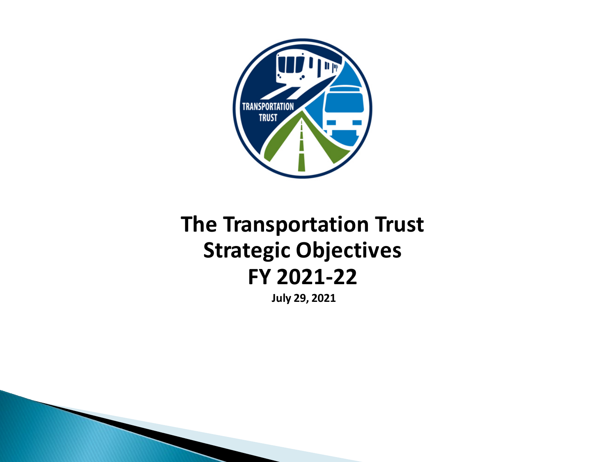

# **The Transportation Trust Strategic Objectives FY 2021-22**

**July 29, 2021**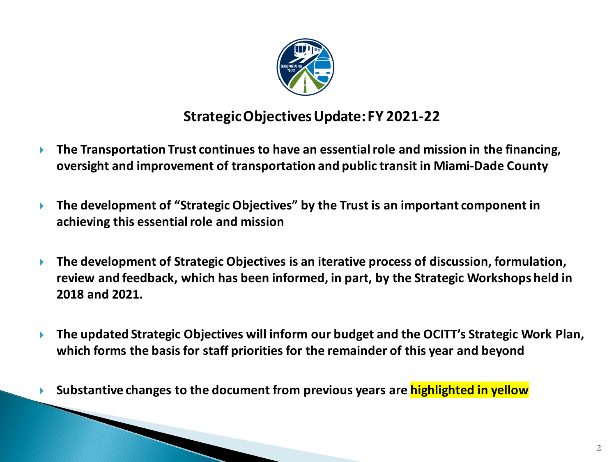

## **Strategic Objectives Update: FY 2021-22**

- **The Transportation Trust continues to have an essential role and mission in the financing, oversight and improvement of transportation and public transit in Miami-Dade County**
- **The development of "Strategic Objectives" by the Trust is an important component in achieving this essential role and mission**
- **The development of Strategic Objectives is an iterative process of discussion, formulation, review and feedback, which has been informed, in part, by the Strategic Workshops held in 2018 and 2021.**
- **The updated Strategic Objectives will inform our budget and the OCITT's Strategic Work Plan, which forms the basis for staff priorities for the remainder of this year and beyond**
- **Substantive changes to the document from previous years are highlighted in yellow**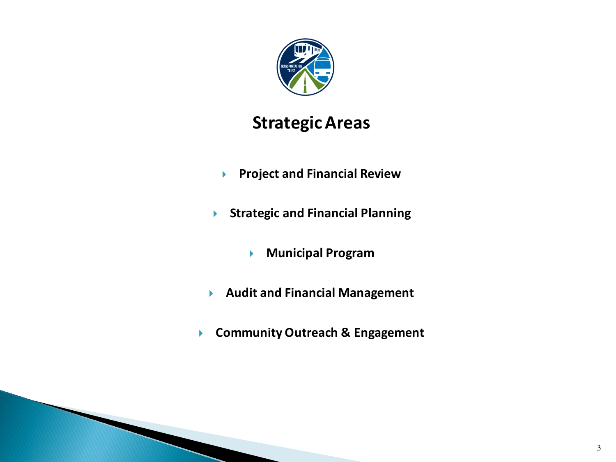

# **Strategic Areas**

- **Project and Financial Review**
- **Strategic and Financial Planning**
	- **Municipal Program**
- **Audit and Financial Management**
- **Community Outreach & Engagement**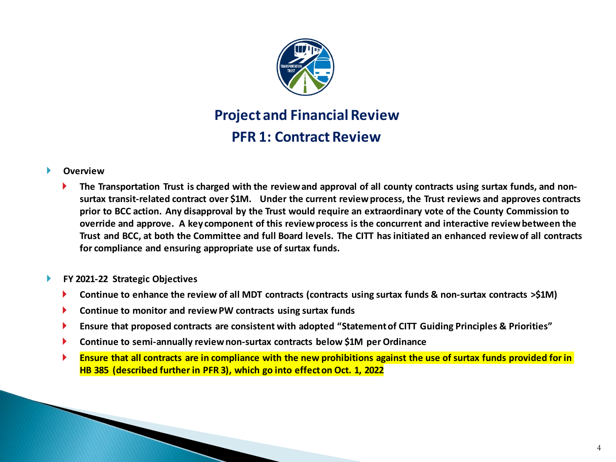

# **Project and Financial Review PFR 1: Contract Review**

#### **Overview**

 **The Transportation Trust is charged with the review and approval of all county contracts using surtax funds, and nonsurtax transit-related contract over \$1M. Under the current review process, the Trust reviews and approves contracts prior to BCC action. Any disapproval by the Trust would require an extraordinary vote of the County Commission to override and approve. A key component of this review process is the concurrent and interactive review between the Trust and BCC, at both the Committee and full Board levels. The CITT has initiated an enhanced review of all contracts for compliance and ensuring appropriate use of surtax funds.**

#### **FY 2021-22 Strategic Objectives**

- **Continue to enhance the review of all MDT contracts (contracts using surtax funds & non-surtax contracts >\$1M)**
- **Continue to monitor and review PW contracts using surtax funds**
- **Ensure that proposed contracts are consistent with adopted "Statement of CITT Guiding Principles & Priorities"**
- **Continue to semi-annually review non-surtax contracts below \$1M per Ordinance**
- **Ensure that all contracts are in compliance with the new prohibitions against the use of surtax funds provided for in HB 385 (described further in PFR 3), which go into effect on Oct. 1, 2022**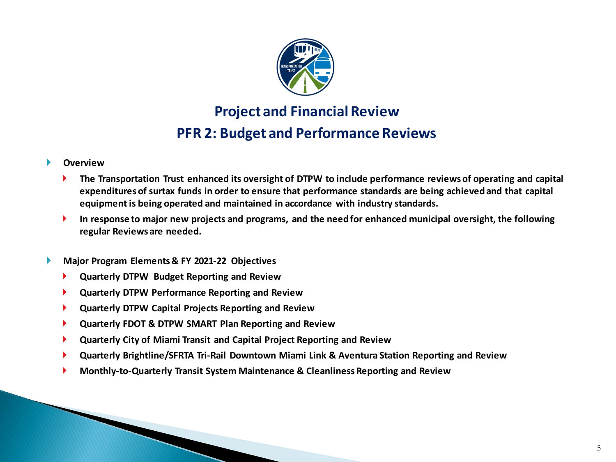

# **Project and Financial Review PFR 2: Budget and Performance Reviews**

- **The Transportation Trust enhanced its oversight of DTPW to include performance reviews of operating and capital expenditures of surtax funds in order to ensure that performance standards are being achieved and that capital equipment is being operated and maintained in accordance with industry standards.**
- **In response to major new projects and programs, and the need for enhanced municipal oversight, the following regular Reviews are needed.**
- **Major Program Elements & FY 2021-22 Objectives**
	- **Quarterly DTPW Budget Reporting and Review**
	- **Quarterly DTPW Performance Reporting and Review**
	- **Quarterly DTPW Capital Projects Reporting and Review**
	- **Quarterly FDOT & DTPW SMART Plan Reporting and Review**
	- **Quarterly City of Miami Transit and Capital Project Reporting and Review**
	- **Quarterly Brightline/SFRTA Tri-Rail Downtown Miami Link & Aventura Station Reporting and Review**
	- **Monthly-to-Quarterly Transit System Maintenance & Cleanliness Reporting and Review**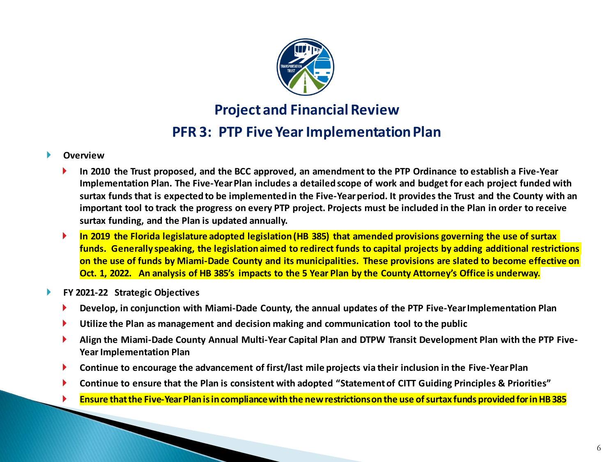

### **Project and Financial Review**

### **PFR 3: PTP Five Year Implementation Plan**

- **In 2010 the Trust proposed, and the BCC approved, an amendment to the PTP Ordinance to establish a Five-Year Implementation Plan. The Five-Year Plan includes a detailed scope of work and budget for each project funded with surtax funds that is expected to be implemented in the Five-Year period. It provides the Trust and the County with an important tool to track the progress on every PTP project. Projects must be included in the Plan in order to receive surtax funding, and the Plan is updated annually.**
- **In 2019 the Florida legislature adopted legislation (HB 385) that amended provisions governing the use of surtax funds. Generally speaking, the legislation aimed to redirect funds to capital projects by adding additional restrictions on the use of funds by Miami-Dade County and its municipalities. These provisions are slated to become effective on Oct. 1, 2022. An analysis of HB 385's impacts to the 5 Year Plan by the County Attorney's Office is underway.**
- **FY 2021-22 Strategic Objectives**
	- **Develop, in conjunction with Miami-Dade County, the annual updates of the PTP Five-Year Implementation Plan**
	- **Utilize the Plan as management and decision making and communication tool to the public**
	- **Align the Miami-Dade County Annual Multi-Year Capital Plan and DTPW Transit Development Plan with the PTP Five-Year Implementation Plan**
	- **Continue to encourage the advancement of first/last mile projects via their inclusion in the Five-Year Plan**
	- **Continue to ensure that the Plan is consistent with adopted "Statement of CITT Guiding Principles & Priorities"**
	- **Ensure that the Five-Year Plan is in compliance with the new restrictions on the use of surtax funds provided for in HB 385**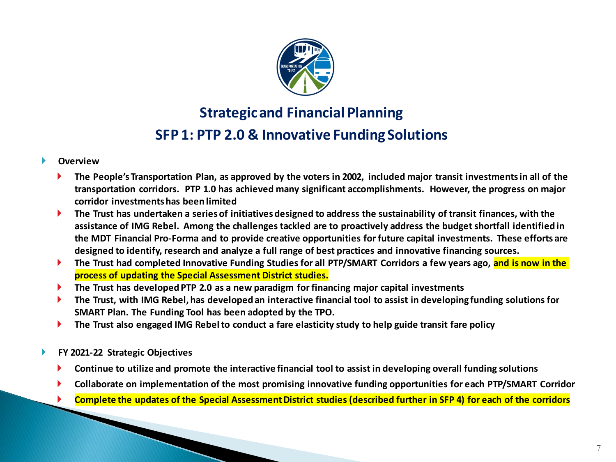

# **Strategic and Financial Planning SFP 1: PTP 2.0 & Innovative Funding Solutions**

- **The People's Transportation Plan, as approved by the voters in 2002, included major transit investments in all of the transportation corridors. PTP 1.0 has achieved many significant accomplishments. However, the progress on major corridor investments has been limited**
- **The Trust has undertaken a series of initiatives designed to address the sustainability of transit finances, with the assistance of IMG Rebel. Among the challenges tackled are to proactively address the budget shortfall identified in the MDT Financial Pro-Forma and to provide creative opportunities for future capital investments. These efforts are designed to identify, research and analyze a full range of best practices and innovative financing sources.**
- **The Trust had completed Innovative Funding Studies for all PTP/SMART Corridors a few years ago, and is now in the process of updating the Special Assessment District studies.**
- **The Trust has developed PTP 2.0 as a new paradigm for financing major capital investments**
- **The Trust, with IMG Rebel, has developed an interactive financial tool to assist in developing funding solutions for SMART Plan. The Funding Tool has been adopted by the TPO.**
- **The Trust also engaged IMG Rebel to conduct a fare elasticity study to help guide transit fare policy**
- **FY 2021-22 Strategic Objectives**
	- **Continue to utilize and promote the interactive financial tool to assist in developing overall funding solutions**
	- **Collaborate on implementation of the most promising innovative funding opportunities for each PTP/SMART Corridor**
	- **Complete the updates of the Special Assessment District studies (described further in SFP 4) for each of the corridors**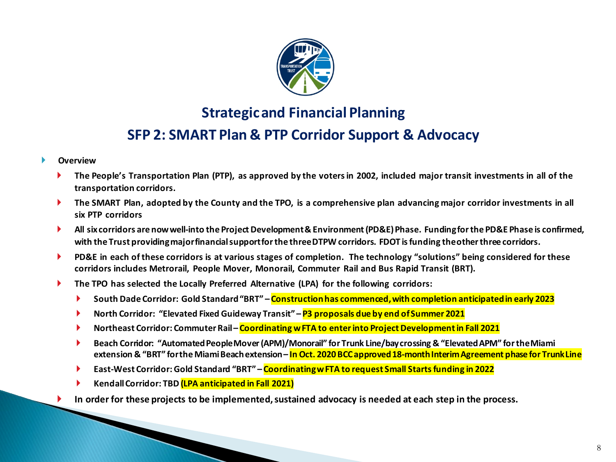

### **SFP 2: SMART Plan & PTP Corridor Support & Advocacy**

- **Overview**
	- **The People's Transportation Plan (PTP), as approved by the voters in 2002, included major transit investments in all of the transportation corridors.**
	- **The SMART Plan, adopted by the County and the TPO, is a comprehensive plan advancing major corridor investments in all six PTP corridors**
	- **All six corridors are now well-into the Project Development & Environment (PD&E) Phase. Funding for the PD&E Phase is confirmed, with the Trust providing major financial support for the three DTPW corridors. FDOT is funding the other three corridors.**
	- **PD&E in each of these corridors is at various stages of completion. The technology "solutions" being considered for these corridors includes Metrorail, People Mover, Monorail, Commuter Rail and Bus Rapid Transit (BRT).**
	- **The TPO has selected the Locally Preferred Alternative (LPA) for the following corridors:**
		- **South Dade Corridor: Gold Standard "BRT" – Construction has commenced, with completion anticipated in early 2023**
		- **North Corridor: "Elevated Fixed Guideway Transit" <b>P3 proposals due by end of Summer 2021**
		- **▶ Northeast Corridor: Commuter Rail Coordinating w FTA to enter into Project Development in Fall 2021**
		- **Beach Corridor: "Automated People Mover (APM)/Monorail" for Trunk Line/bay crossing & "Elevated APM" for the Miami extension & "BRT" for the Miami Beach extension – In Oct. 2020 BCC approved 18-month Interim Agreement phase for Trunk Line**
		- **East-West Corridor: Gold Standard "BRT" – Coordinating w FTA to request Small Starts funding in 2022**
		- **Kendall Corridor: TBD (LPA anticipated in Fall 2021)**
	- **In order for these projects to be implemented, sustained advocacy is needed at each step in the process.**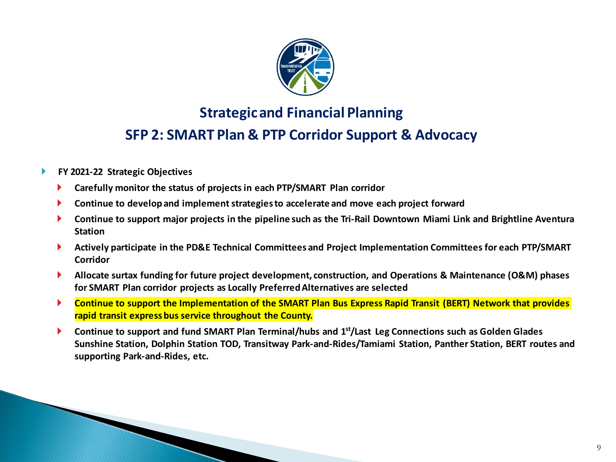

### **SFP 2: SMART Plan & PTP Corridor Support & Advocacy**

- **FY 2021-22 Strategic Objectives**
	- **Carefully monitor the status of projects in each PTP/SMART Plan corridor**
	- **Continue to develop and implement strategies to accelerate and move each project forward**
	- **Continue to support major projects in the pipeline such as the Tri-Rail Downtown Miami Link and Brightline Aventura Station**
	- **Actively participate in the PD&E Technical Committees and Project Implementation Committees for each PTP/SMART Corridor**
	- **Allocate surtax funding for future project development, construction, and Operations & Maintenance (O&M) phases for SMART Plan corridor projects as Locally Preferred Alternatives are selected**
	- **Continue to support the Implementation of the SMART Plan Bus Express Rapid Transit (BERT) Network that provides rapid transit express bus service throughout the County.**
	- **Continue to support and fund SMART Plan Terminal/hubs and 1st/Last Leg Connections such as Golden Glades Sunshine Station, Dolphin Station TOD, Transitway Park-and-Rides/Tamiami Station, Panther Station, BERT routes and supporting Park-and-Rides, etc.**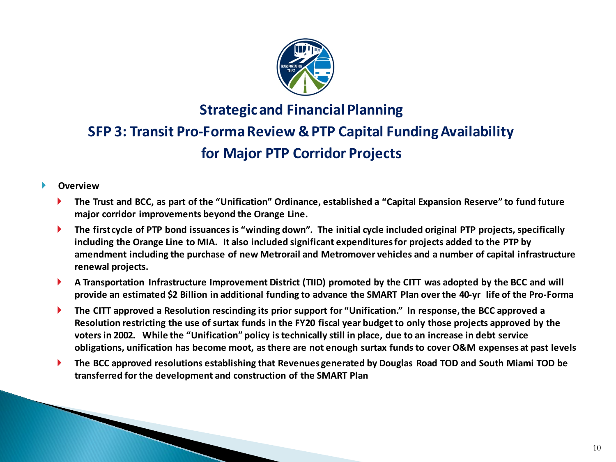

# **SFP 3: Transit Pro-Forma Review & PTP Capital Funding Availability for Major PTP Corridor Projects**

- **The Trust and BCC, as part of the "Unification" Ordinance, established a "Capital Expansion Reserve" to fund future major corridor improvements beyond the Orange Line.**
- **The first cycle of PTP bond issuances is "winding down". The initial cycle included original PTP projects, specifically including the Orange Line to MIA. It also included significant expenditures for projects added to the PTP by amendment including the purchase of new Metrorail and Metromover vehicles and a number of capital infrastructure renewal projects.**
- **A Transportation Infrastructure Improvement District (TIID) promoted by the CITT was adopted by the BCC and will provide an estimated \$2 Billion in additional funding to advance the SMART Plan over the 40-yr life of the Pro-Forma**
- **The CITT approved a Resolution rescinding its prior support for "Unification." In response, the BCC approved a Resolution restricting the use of surtax funds in the FY20 fiscal year budget to only those projects approved by the voters in 2002. While the "Unification" policy is technically still in place, due to an increase in debt service obligations, unification has become moot, as there are not enough surtax funds to cover O&M expenses at past levels**
- **The BCC approved resolutions establishing that Revenues generated by Douglas Road TOD and South Miami TOD be transferred for the development and construction of the SMART Plan**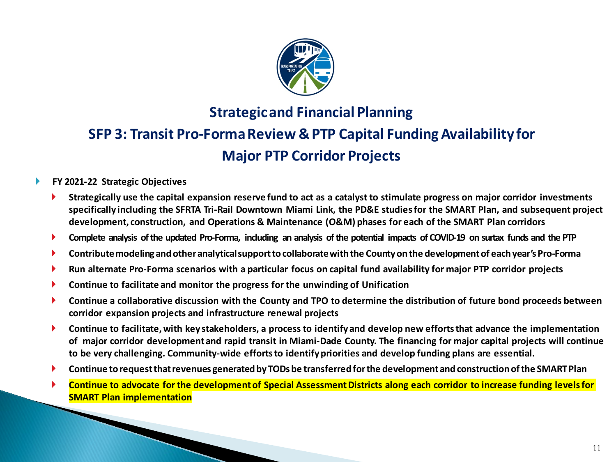

# **SFP 3: Transit Pro-Forma Review & PTP Capital Funding Availability for Major PTP Corridor Projects**

#### **FY 2021-22 Strategic Objectives**

- **Strategically use the capital expansion reserve fund to act as a catalyst to stimulate progress on major corridor investments specifically including the SFRTA Tri-Rail Downtown Miami Link, the PD&E studies for the SMART Plan, and subsequent project development, construction, and Operations & Maintenance (O&M) phases for each of the SMART Plan corridors**
- **Complete analysis of the updated Pro-Forma, including an analysis of the potential impacts of COVID-19 on surtax funds and the PTP**
- **Contribute modeling and other analytical support to collaborate with the County on the development of each year's Pro-Forma**
- **Run alternate Pro-Forma scenarios with a particular focus on capital fund availability for major PTP corridor projects**
- **Continue to facilitate and monitor the progress for the unwinding of Unification**
- **Continue a collaborative discussion with the County and TPO to determine the distribution of future bond proceeds between corridor expansion projects and infrastructure renewal projects**
- **Continue to facilitate, with key stakeholders, a process to identify and develop new efforts that advance the implementation of major corridor development and rapid transit in Miami-Dade County. The financing for major capital projects will continue to be very challenging. Community-wide efforts to identify priorities and develop funding plans are essential.**
- **Continue to request that revenues generated by TODs be transferred for the development and construction of the SMART Plan**
- **Continue to advocate for the development of Special Assessment Districts along each corridor to increase funding levels for SMART Plan implementation**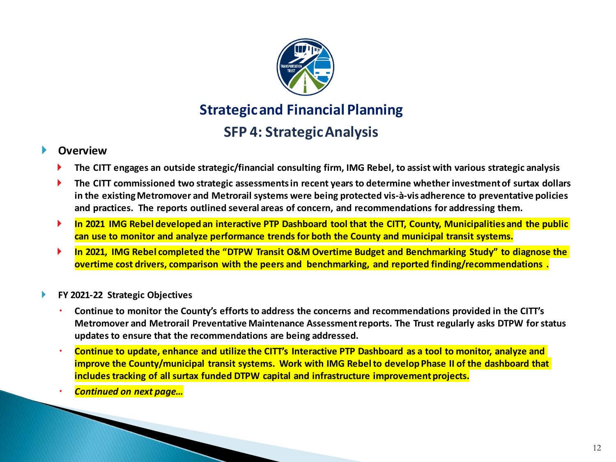

## **SFP 4: Strategic Analysis**

- **The CITT engages an outside strategic/financial consulting firm, IMG Rebel, to assist with various strategic analysis**
- **The CITT commissioned two strategic assessments in recent years to determine whether investment of surtax dollars in the existing Metromover and Metrorail systems were being protected vis-à-vis adherence to preventative policies and practices. The reports outlined several areas of concern, and recommendations for addressing them.**
- **In 2021 IMG Rebel developed an interactive PTP Dashboard tool that the CITT, County, Municipalities and the public can use to monitor and analyze performance trends for both the County and municipal transit systems.**
- **In 2021, IMG Rebel completed the "DTPW Transit O&M Overtime Budget and Benchmarking Study" to diagnose the overtime cost drivers, comparison with the peers and benchmarking, and reported finding/recommendations .**
- **FY 2021-22 Strategic Objectives**
	- **Continue to monitor the County's efforts to address the concerns and recommendations provided in the CITT's Metromover and Metrorail Preventative Maintenance Assessment reports. The Trust regularly asks DTPW for status updates to ensure that the recommendations are being addressed.**
	- **Continue to update, enhance and utilize the CITT's Interactive PTP Dashboard as a tool to monitor, analyze and improve the County/municipal transit systems. Work with IMG Rebel to develop Phase II of the dashboard that includes tracking of all surtax funded DTPW capital and infrastructure improvement projects.**
	- *Continued on next page…*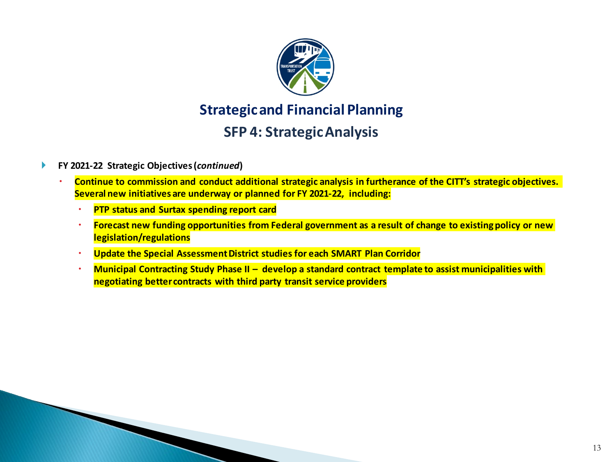

### **SFP 4: Strategic Analysis**

#### **FY 2021-22 Strategic Objectives (***continued***)**

- **Continue to commission and conduct additional strategic analysis in furtherance of the CITT's strategic objectives. Several new initiatives are underway or planned for FY 2021-22, including:**
	- **PTP status and Surtax spending report card**
	- **Forecast new funding opportunities from Federal government as a result of change to existing policy or new legislation/regulations**
	- **Update the Special Assessment District studies for each SMART Plan Corridor**
	- **Municipal Contracting Study Phase II – develop a standard contract template to assist municipalities with negotiating better contracts with third party transit service providers**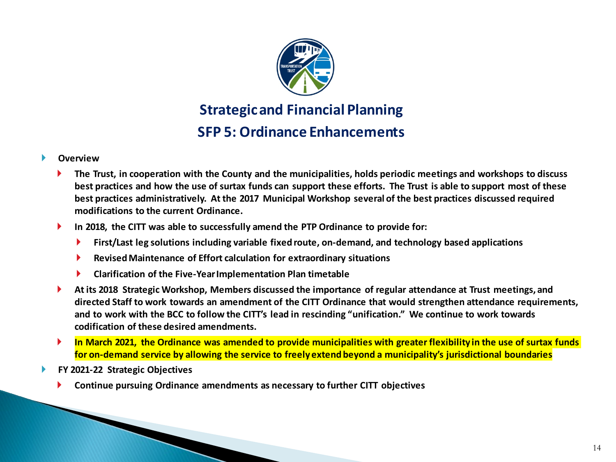

**Strategic and Financial Planning SFP 5: Ordinance Enhancements** 

- **The Trust, in cooperation with the County and the municipalities, holds periodic meetings and workshops to discuss best practices and how the use of surtax funds can support these efforts. The Trust is able to support most of these best practices administratively. At the 2017 Municipal Workshop several of the best practices discussed required modifications to the current Ordinance.**
- **In 2018, the CITT was able to successfully amend the PTP Ordinance to provide for:**
	- **First/Last leg solutions including variable fixed route, on-demand, and technology based applications**
	- **Revised Maintenance of Effort calculation for extraordinary situations**
	- **Clarification of the Five-Year Implementation Plan timetable**
- **At its 2018 Strategic Workshop, Members discussed the importance of regular attendance at Trust meetings, and directed Staff to work towards an amendment of the CITT Ordinance that would strengthen attendance requirements, and to work with the BCC to follow the CITT's lead in rescinding "unification." We continue to work towards codification of these desired amendments.**
- **In March 2021, the Ordinance was amended to provide municipalities with greater flexibility in the use of surtax funds for on-demand service by allowing the service to freely extend beyond a municipality's jurisdictional boundaries**
- **FY 2021-22 Strategic Objectives**
	- **Continue pursuing Ordinance amendments as necessary to further CITT objectives**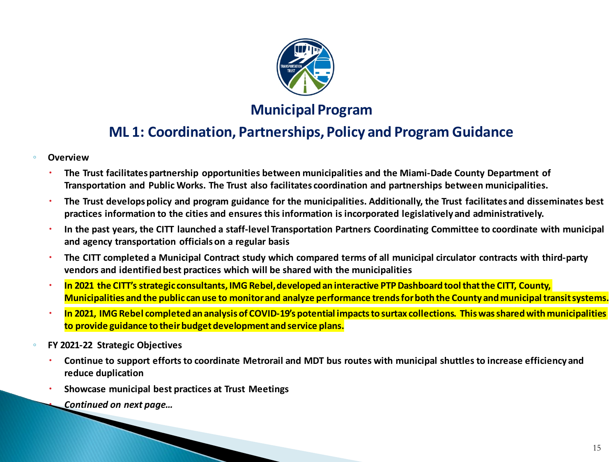

### **Municipal Program**

### **ML 1: Coordination, Partnerships, Policy and Program Guidance**

- **Overview**
	- **The Trust facilitates partnership opportunities between municipalities and the Miami-Dade County Department of Transportation and Public Works. The Trust also facilitates coordination and partnerships between municipalities.**
	- **The Trust develops policy and program guidance for the municipalities. Additionally, the Trust facilitates and disseminates best practices information to the cities and ensures this information is incorporated legislatively and administratively.**
	- **In the past years, the CITT launched a staff-level Transportation Partners Coordinating Committee to coordinate with municipal and agency transportation officials on a regular basis**
	- **The CITT completed a Municipal Contract study which compared terms of all municipal circulator contracts with third-party vendors and identified best practices which will be shared with the municipalities**
	- **In 2021 the CITT's strategic consultants, IMG Rebel, developed an interactive PTP Dashboard tool that the CITT, County, Municipalities and the public can use to monitor and analyze performance trends for both the County and municipal transit systems.**
	- **In 2021, IMG Rebel completed an analysis of COVID-19's potential impacts to surtax collections. This was shared with municipalities to provide guidance to their budget development and service plans.**
- **FY 2021-22 Strategic Objectives**
	- **Continue to support efforts to coordinate Metrorail and MDT bus routes with municipal shuttles to increase efficiency and reduce duplication**
	- **Showcase municipal best practices at Trust Meetings**

*Continued on next page…*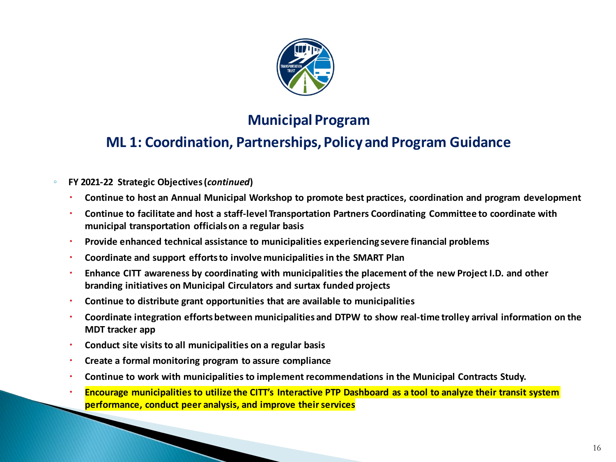

## **Municipal Program**

### **ML 1: Coordination, Partnerships, Policy and Program Guidance**

#### ◦ **FY 2021-22 Strategic Objectives (***continued***)**

- **Continue to host an Annual Municipal Workshop to promote best practices, coordination and program development**
- **Continue to facilitate and host a staff-level Transportation Partners Coordinating Committee to coordinate with municipal transportation officials on a regular basis**
- **Provide enhanced technical assistance to municipalities experiencing severe financial problems**
- **Coordinate and support efforts to involve municipalities in the SMART Plan**
- **Enhance CITT awareness by coordinating with municipalities the placement of the new Project I.D. and other branding initiatives on Municipal Circulators and surtax funded projects**
- **Continue to distribute grant opportunities that are available to municipalities**
- **Coordinate integration efforts between municipalities and DTPW to show real-time trolley arrival information on the MDT tracker app**
- **Conduct site visits to all municipalities on a regular basis**
- **Create a formal monitoring program to assure compliance**
- **Continue to work with municipalities to implement recommendations in the Municipal Contracts Study.**
- **Encourage municipalities to utilize the CITT's Interactive PTP Dashboard as a tool to analyze their transit system performance, conduct peer analysis, and improve their services**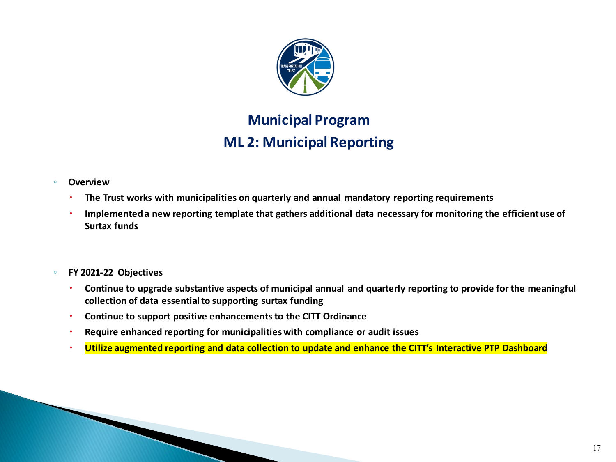

# **Municipal Program ML 2: Municipal Reporting**

#### ◦ **Overview**

- **The Trust works with municipalities on quarterly and annual mandatory reporting requirements**
- **Implemented a new reporting template that gathers additional data necessary for monitoring the efficient use of Surtax funds**
- **FY 2021-22 Objectives**
	- **Continue to upgrade substantive aspects of municipal annual and quarterly reporting to provide for the meaningful collection of data essential to supporting surtax funding**
	- **Continue to support positive enhancements to the CITT Ordinance**
	- **Require enhanced reporting for municipalities with compliance or audit issues**
	- **Utilize augmented reporting and data collection to update and enhance the CITT's Interactive PTP Dashboard**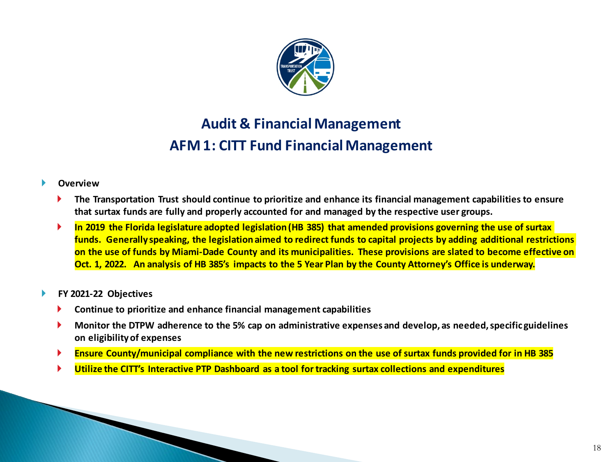

# **Audit & Financial Management AFM 1: CITT Fund Financial Management**

#### **Overview**

- **The Transportation Trust should continue to prioritize and enhance its financial management capabilities to ensure that surtax funds are fully and properly accounted for and managed by the respective user groups.**
- **In 2019 the Florida legislature adopted legislation (HB 385) that amended provisions governing the use of surtax funds. Generally speaking, the legislation aimed to redirect funds to capital projects by adding additional restrictions on the use of funds by Miami-Dade County and its municipalities. These provisions are slated to become effective on Oct. 1, 2022. An analysis of HB 385's impacts to the 5 Year Plan by the County Attorney's Office is underway.**

#### **FY 2021-22 Objectives**

- **Continue to prioritize and enhance financial management capabilities**
- **Monitor the DTPW adherence to the 5% cap on administrative expenses and develop, as needed, specific guidelines on eligibility of expenses**
- **Ensure County/municipal compliance with the new restrictions on the use of surtax funds provided for in HB 385**
- **Utilize the CITT's Interactive PTP Dashboard as a tool for tracking surtax collections and expenditures**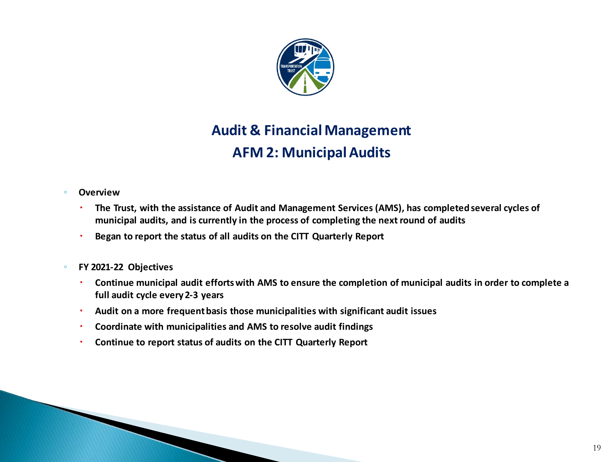

# **Audit & Financial Management AFM 2: Municipal Audits**

#### ◦ **Overview**

- **The Trust, with the assistance of Audit and Management Services (AMS), has completed several cycles of municipal audits, and is currently in the process of completing the next round of audits**
- **Began to report the status of all audits on the CITT Quarterly Report**
- **FY 2021-22 Objectives**
	- **Continue municipal audit efforts with AMS to ensure the completion of municipal audits in order to complete a full audit cycle every 2-3 years**
	- **Audit on a more frequent basis those municipalities with significant audit issues**
	- **Coordinate with municipalities and AMS to resolve audit findings**
	- **Continue to report status of audits on the CITT Quarterly Report**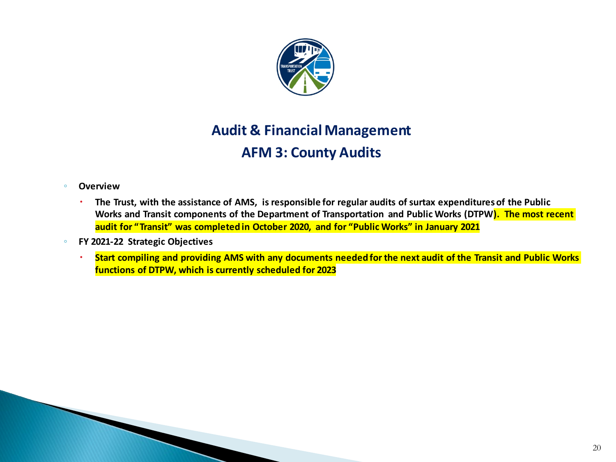

# **Audit & Financial Management AFM 3: County Audits**

#### ◦ **Overview**

- **The Trust, with the assistance of AMS, is responsible for regular audits of surtax expenditures of the Public Works and Transit components of the Department of Transportation and Public Works (DTPW). The most recent audit for "Transit" was completed in October 2020, and for "Public Works" in January 2021**
- **FY 2021-22 Strategic Objectives**
	- **Start compiling and providing AMS with any documents needed for the next audit of the Transit and Public Works functions of DTPW, which is currently scheduled for 2023**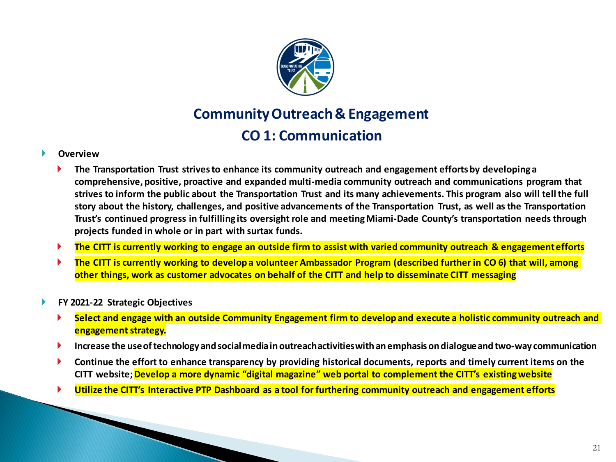

# **Community Outreach & Engagement CO 1: Communication**

- **The Transportation Trust strives to enhance its community outreach and engagement efforts by developing a comprehensive, positive, proactive and expanded multi-media community outreach and communications program that strives to inform the public about the Transportation Trust and its many achievements. This program also will tell the full story about the history, challenges, and positive advancements of the Transportation Trust, as well as the Transportation Trust's continued progress in fulfilling its oversight role and meeting Miami-Dade County's transportation needs through projects funded in whole or in part with surtax funds.**
- **The CITT is currently working to engage an outside firm to assist with varied community outreach & engagement efforts**
- **The CITT is currently working to develop a volunteer Ambassador Program (described further in CO 6) that will, among other things, work as customer advocates on behalf of the CITT and help to disseminate CITT messaging**
- **FY 2021-22 Strategic Objectives**
	- **Select and engage with an outside Community Engagement firm to develop and execute a holistic community outreach and engagement strategy.**
	- **Increase the use of technology and social media in outreach activities with an emphasis on dialogue and two-way communication**
	- **Continue the effort to enhance transparency by providing historical documents, reports and timely current items on the CITT website; Develop a more dynamic "digital magazine" web portal to complement the CITT's existing website**
	- **Utilize the CITT's Interactive PTP Dashboard as a tool for furthering community outreach and engagement efforts**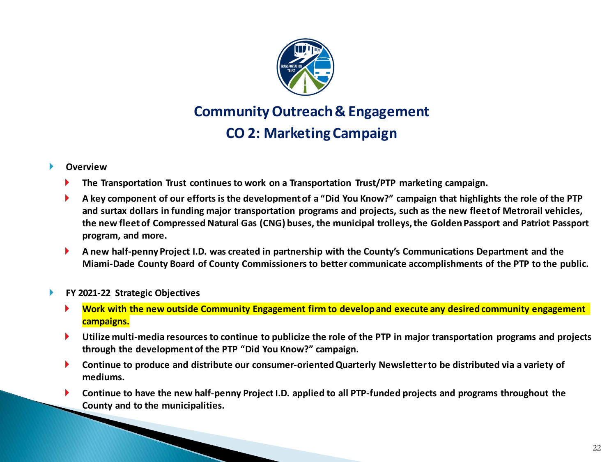

# **Community Outreach & Engagement CO 2: Marketing Campaign**

#### **Overview**

- **The Transportation Trust continues to work on a Transportation Trust/PTP marketing campaign.**
- **A key component of our efforts is the development of a "Did You Know?" campaign that highlights the role of the PTP and surtax dollars in funding major transportation programs and projects, such as the new fleet of Metrorail vehicles, the new fleet of Compressed Natural Gas (CNG) buses, the municipal trolleys, the Golden Passport and Patriot Passport program, and more.**
- **A new half-penny Project I.D. was created in partnership with the County's Communications Department and the Miami-Dade County Board of County Commissioners to better communicate accomplishments of the PTP to the public.**

#### **FY 2021-22 Strategic Objectives**

- **Work with the new outside Community Engagement firm to develop and execute any desired community engagement campaigns.**
- **Utilize multi-media resources to continue to publicize the role of the PTP in major transportation programs and projects through the development of the PTP "Did You Know?" campaign.**
- **Continue to produce and distribute our consumer-oriented Quarterly Newsletter to be distributed via a variety of mediums.**
- **Continue to have the new half-penny Project I.D. applied to all PTP-funded projects and programs throughout the County and to the municipalities.**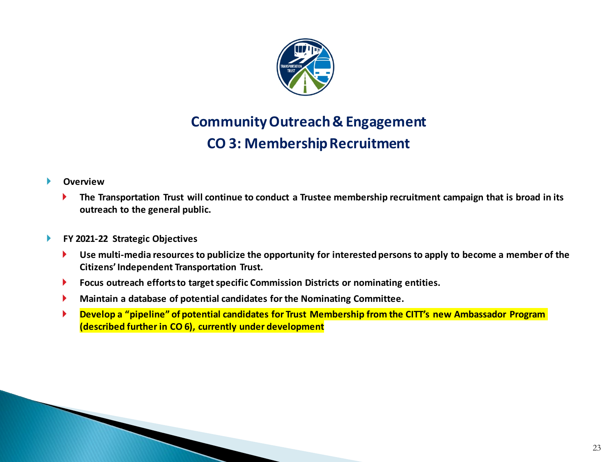

# **Community Outreach & Engagement CO 3: Membership Recruitment**

- **The Transportation Trust will continue to conduct a Trustee membership recruitment campaign that is broad in its outreach to the general public.**
- **FY 2021-22 Strategic Objectives**
	- **Use multi-media resources to publicize the opportunity for interested persons to apply to become a member of the Citizens' Independent Transportation Trust.**
	- **Focus outreach efforts to target specific Commission Districts or nominating entities.**
	- **Maintain a database of potential candidates for the Nominating Committee.**
	- **Develop a "pipeline" of potential candidates for Trust Membership from the CITT's new Ambassador Program (described further in CO 6), currently under development**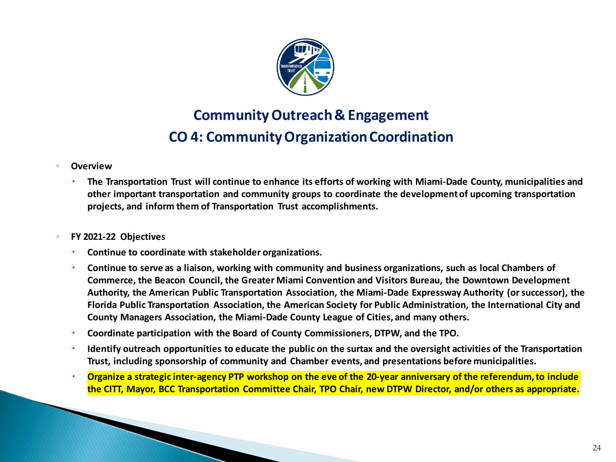

# **Community Outreach & Engagement CO 4: Community Organization Coordination**

#### ◦ **Overview**

 **The Transportation Trust will continue to enhance its efforts of working with Miami-Dade County, municipalities and other important transportation and community groups to coordinate the development of upcoming transportation projects, and inform them of Transportation Trust accomplishments.**

#### ◦ **FY 2021-22 Objectives**

- **Continue to coordinate with stakeholder organizations.**
- **Continue to serve as a liaison, working with community and business organizations, such as local Chambers of Commerce, the Beacon Council, the Greater Miami Convention and Visitors Bureau, the Downtown Development Authority, the American Public Transportation Association, the Miami-Dade Expressway Authority (or successor), the Florida Public Transportation Association, the American Society for Public Administration, the International City and County Managers Association, the Miami-Dade County League of Cities, and many others.**
- **Coordinate participation with the Board of County Commissioners, DTPW, and the TPO.**
- **Identify outreach opportunities to educate the public on the surtax and the oversight activities of the Transportation Trust, including sponsorship of community and Chamber events, and presentations before municipalities.**
- **Organize a strategic inter-agency PTP workshop on the eve of the 20-year anniversary of the referendum, to include the CITT, Mayor, BCC Transportation Committee Chair, TPO Chair, new DTPW Director, and/or others as appropriate.**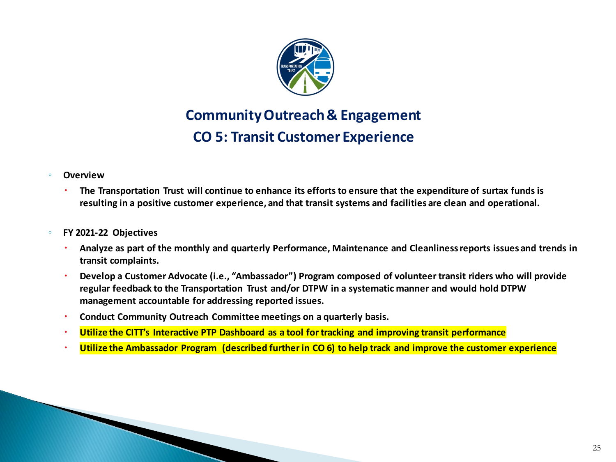

# **Community Outreach & Engagement CO 5: Transit Customer Experience**

- **Overview**
	- **The Transportation Trust will continue to enhance its efforts to ensure that the expenditure of surtax funds is resulting in a positive customer experience, and that transit systems and facilities are clean and operational.**
- **FY 2021-22 Objectives**
	- **Analyze as part of the monthly and quarterly Performance, Maintenance and Cleanliness reports issues and trends in transit complaints.**
	- **Develop a Customer Advocate (i.e., "Ambassador") Program composed of volunteer transit riders who will provide regular feedback to the Transportation Trust and/or DTPW in a systematic manner and would hold DTPW management accountable for addressing reported issues.**
	- **Conduct Community Outreach Committee meetings on a quarterly basis.**
	- **Utilize the CITT's Interactive PTP Dashboard as a tool for tracking and improving transit performance**
	- **Utilize the Ambassador Program (described further in CO 6) to help track and improve the customer experience**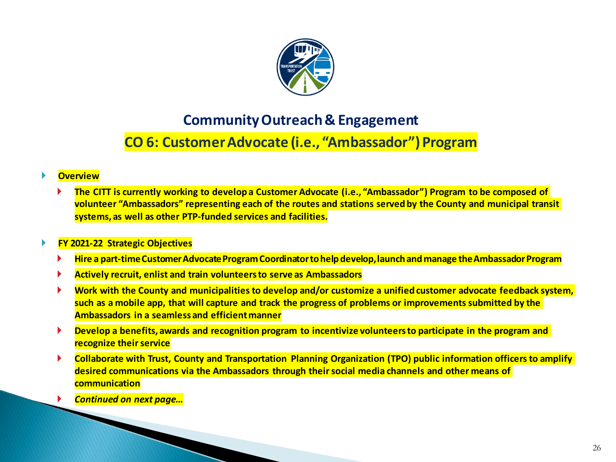

### **Community Outreach & Engagement**

# **CO 6: Customer Advocate (i.e., "Ambassador") Program**

#### **Overview**

 **The CITT is currently working to develop a Customer Advocate (i.e., "Ambassador") Program to be composed of volunteer "Ambassadors" representing each of the routes and stations served by the County and municipal transit systems, as well as other PTP-funded services and facilities.**

#### **FY 2021-22 Strategic Objectives**

- **Hire a part-time Customer Advocate Program Coordinator to help develop, launch and manage the Ambassador Program**
- **Actively recruit, enlist and train volunteers to serve as Ambassadors**
- **Work with the County and municipalities to develop and/or customize a unified customer advocate feedback system, such as a mobile app, that will capture and track the progress of problems or improvements submitted by the Ambassadors in a seamless and efficient manner**
- **Develop a benefits, awards and recognition program to incentivize volunteers to participate in the program and recognize their service**
- **Collaborate with Trust, County and Transportation Planning Organization (TPO) public information officers to amplify desired communications via the Ambassadors through their social media channels and other means of communication**
- *Continued on next page…*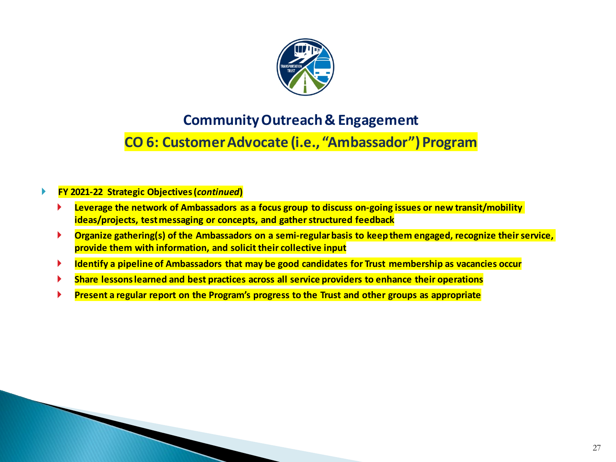

### **Community Outreach & Engagement**

# **CO 6: Customer Advocate (i.e., "Ambassador") Program**

#### **FY 2021-22 Strategic Objectives (***continued***)**

- **Leverage the network of Ambassadors as a focus group to discuss on-going issues or new transit/mobility ideas/projects, test messaging or concepts, and gather structured feedback**
- **Organize gathering(s) of the Ambassadors on a semi-regular basis to keep them engaged, recognize their service, provide them with information, and solicit their collective input**
- **Identify a pipeline of Ambassadors that may be good candidates for Trust membership as vacancies occur**
- **Share lessons learned and best practices across all service providers to enhance their operations**
- **Present a regular report on the Program's progress to the Trust and other groups as appropriate**

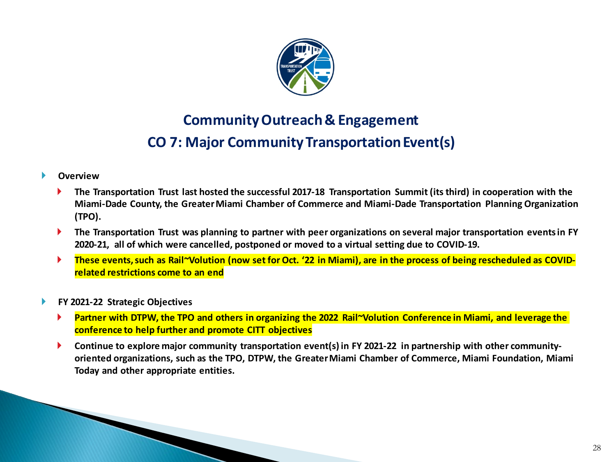

# **Community Outreach & Engagement CO 7: Major Community Transportation Event(s)**

- **The Transportation Trust last hosted the successful 2017-18 Transportation Summit (its third) in cooperation with the Miami-Dade County, the Greater Miami Chamber of Commerce and Miami-Dade Transportation Planning Organization (TPO).**
- **The Transportation Trust was planning to partner with peer organizations on several major transportation events in FY 2020-21, all of which were cancelled, postponed or moved to a virtual setting due to COVID-19.**
- **These events, such as Rail~Volution (now set for Oct. '22 in Miami), are in the process of being rescheduled as COVIDrelated restrictions come to an end**
- **FY 2021-22 Strategic Objectives**
	- **Partner with DTPW, the TPO and others in organizing the 2022 Rail~Volution Conference in Miami, and leverage the conference to help further and promote CITT objectives**
	- **Continue to explore major community transportation event(s) in FY 2021-22 in partnership with other communityoriented organizations, such as the TPO, DTPW, the Greater Miami Chamber of Commerce, Miami Foundation, Miami Today and other appropriate entities.**